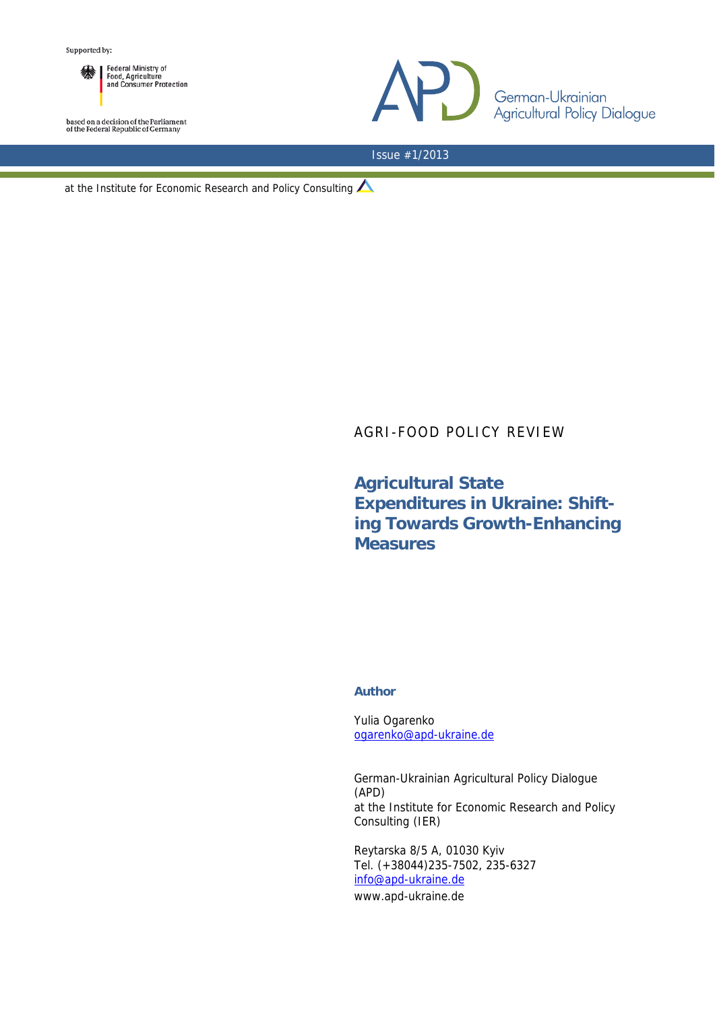

based on a decision of the Parliament<br>of the Federal Republic of Germany



Issue #1/2013

at the Institute for Economic Research and Policy Consulting

## AGRI-FOOD POLICY REVIEW

## **Agricultural State Expenditures in Ukraine: Shifting Towards Growth-Enhancing Measures**

## **Author**

Yulia Ogarenko ogarenko@apd-ukraine.de

German-Ukrainian Agricultural Policy Dialogue (APD) at the Institute for Economic Research and Policy Consulting (IER)

Reytarska 8/5 A, 01030 Kyiv Tel. (+38044)235-7502, 235-6327 info@apd-ukraine.de

www.apd-ukraine.de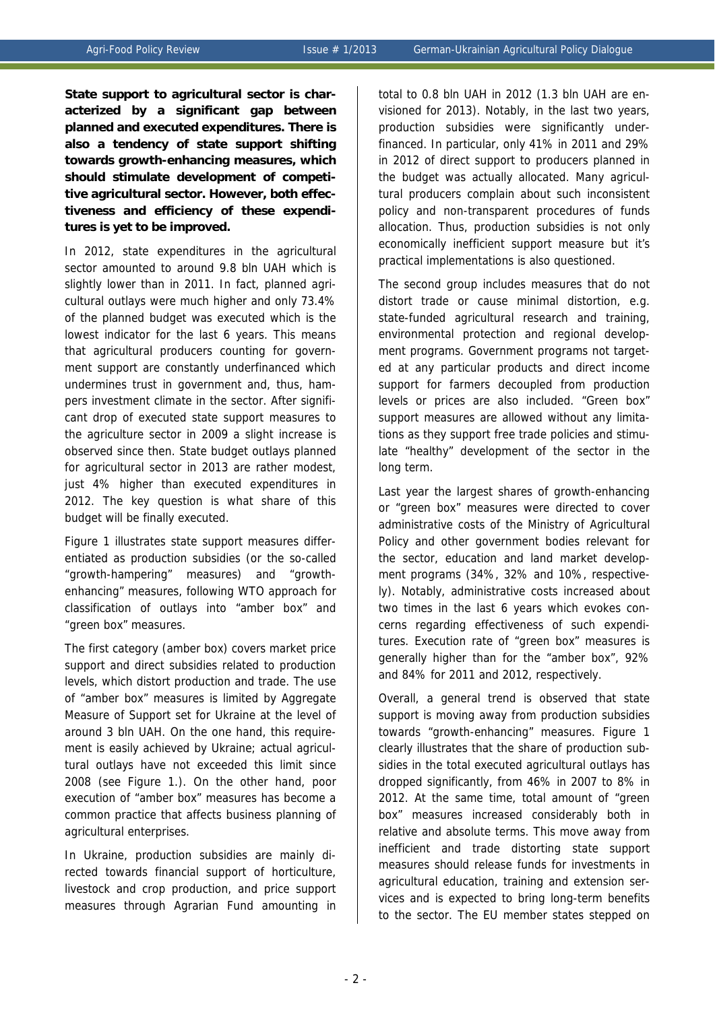**State support to agricultural sector is characterized by a significant gap between planned and executed expenditures. There is also a tendency of state support shifting towards growth-enhancing measures, which should stimulate development of competitive agricultural sector. However, both effectiveness and efficiency of these expenditures is yet to be improved.** 

In 2012, state expenditures in the agricultural sector amounted to around 9.8 bln UAH which is slightly lower than in 2011. In fact, planned agricultural outlays were much higher and only 73.4% of the planned budget was executed which is the lowest indicator for the last 6 years. This means that agricultural producers counting for government support are constantly underfinanced which undermines trust in government and, thus, hampers investment climate in the sector. After significant drop of executed state support measures to the agriculture sector in 2009 a slight increase is observed since then. State budget outlays planned for agricultural sector in 2013 are rather modest, just 4% higher than executed expenditures in 2012. The key question is what share of this budget will be finally executed.

Figure 1 illustrates state support measures differentiated as production subsidies (or the so-called "growth-hampering" measures) and "growthenhancing" measures, following WTO approach for classification of outlays into "amber box" and "green box" measures.

The first category (amber box) covers market price support and direct subsidies related to production levels, which distort production and trade. The use of "amber box" measures is limited by Aggregate Measure of Support set for Ukraine at the level of around 3 bln UAH. On the one hand, this requirement is easily achieved by Ukraine; actual agricultural outlays have not exceeded this limit since 2008 (see Figure 1.). On the other hand, poor execution of "amber box" measures has become a common practice that affects business planning of agricultural enterprises.

In Ukraine, production subsidies are mainly directed towards financial support of horticulture, livestock and crop production, and price support measures through Agrarian Fund amounting in

total to 0.8 bln UAH in 2012 (1.3 bln UAH are envisioned for 2013). Notably, in the last two years, production subsidies were significantly underfinanced. In particular, only 41% in 2011 and 29% in 2012 of direct support to producers planned in the budget was actually allocated. Many agricultural producers complain about such inconsistent policy and non-transparent procedures of funds allocation. Thus, production subsidies is not only economically inefficient support measure but it's practical implementations is also questioned.

The second group includes measures that do not distort trade or cause minimal distortion, e.g. state-funded agricultural research and training, environmental protection and regional development programs. Government programs not targeted at any particular products and direct income support for farmers decoupled from production levels or prices are also included. "Green box" support measures are allowed without any limitations as they support free trade policies and stimulate "healthy" development of the sector in the long term.

Last year the largest shares of growth-enhancing or "green box" measures were directed to cover administrative costs of the Ministry of Agricultural Policy and other government bodies relevant for the sector, education and land market development programs (34%, 32% and 10%, respectively). Notably, administrative costs increased about two times in the last 6 years which evokes concerns regarding effectiveness of such expenditures. Execution rate of "green box" measures is generally higher than for the "amber box", 92% and 84% for 2011 and 2012, respectively.

Overall, a general trend is observed that state support is moving away from production subsidies towards "growth-enhancing" measures. Figure 1 clearly illustrates that the share of production subsidies in the total executed agricultural outlays has dropped significantly, from 46% in 2007 to 8% in 2012. At the same time, total amount of "green box" measures increased considerably both in relative and absolute terms. This move away from inefficient and trade distorting state support measures should release funds for investments in agricultural education, training and extension services and is expected to bring long-term benefits to the sector. The EU member states stepped on